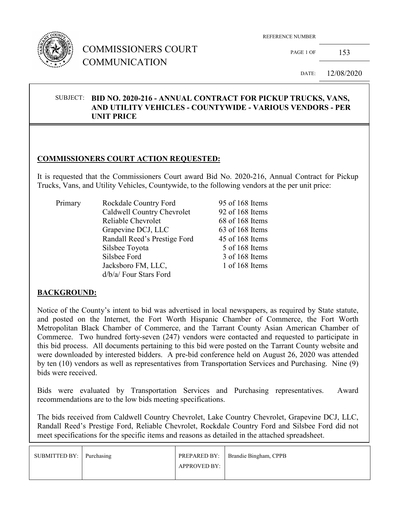

## COMMISSIONERS COURT COMMUNICATION

PAGE 1 OF 153

DATE: 12/08/2020

#### SUBJECT: **BID NO. 2020-216 - ANNUAL CONTRACT FOR PICKUP TRUCKS, VANS, AND UTILITY VEHICLES - COUNTYWIDE - VARIOUS VENDORS - PER UNIT PRICE**

### **COMMISSIONERS COURT ACTION REQUESTED:**

It is requested that the Commissioners Court award Bid No. 2020-216, Annual Contract for Pickup Trucks, Vans, and Utility Vehicles, Countywide, to the following vendors at the per unit price:

| Primary | Rockdale Country Ford        | 95 of 168 Items |
|---------|------------------------------|-----------------|
|         | Caldwell Country Chevrolet   | 92 of 168 Items |
|         | Reliable Chevrolet           | 68 of 168 Items |
|         | Grapevine DCJ, LLC           | 63 of 168 Items |
|         | Randall Reed's Prestige Ford | 45 of 168 Items |
|         | Silsbee Toyota               | 5 of 168 Items  |
|         | Silsbee Ford                 | 3 of 168 Items  |
|         | Jacksboro FM, LLC,           | 1 of 168 Items  |
|         | d/b/a/ Four Stars Ford       |                 |

#### **BACKGROUND:**

Notice of the County's intent to bid was advertised in local newspapers, as required by State statute, and posted on the Internet, the Fort Worth Hispanic Chamber of Commerce, the Fort Worth Metropolitan Black Chamber of Commerce, and the Tarrant County Asian American Chamber of Commerce. Two hundred forty-seven (247) vendors were contacted and requested to participate in this bid process. All documents pertaining to this bid were posted on the Tarrant County website and were downloaded by interested bidders. A pre-bid conference held on August 26, 2020 was attended by ten (10) vendors as well as representatives from Transportation Services and Purchasing. Nine (9) bids were received.

Bids were evaluated by Transportation Services and Purchasing representatives. Award recommendations are to the low bids meeting specifications.

The bids received from Caldwell Country Chevrolet, Lake Country Chevrolet, Grapevine DCJ, LLC, Randall Reed's Prestige Ford, Reliable Chevrolet, Rockdale Country Ford and Silsbee Ford did not meet specifications for the specific items and reasons as detailed in the attached spreadsheet.

| SUBMITTED BY: Purchasing |                     | PREPARED BY:   Brandie Bingham, CPPB |
|--------------------------|---------------------|--------------------------------------|
|                          | <b>APPROVED BY:</b> |                                      |
|                          |                     |                                      |